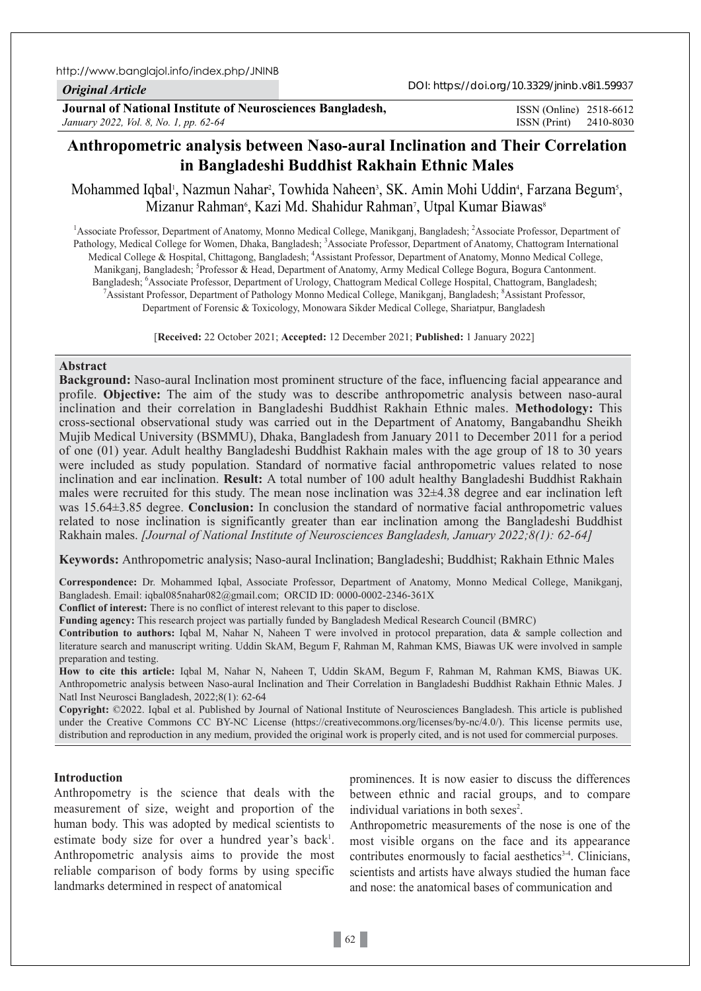http://www.banglajol.info/index.php/JNINB

## *Original Article*

**Journal of National Institute of Neurosciences Bangladesh,** *January 2022, Vol. 8, No. 1, pp. 62-64*

ISSN (Print) 2410-8030 ISSN (Online) 2518-6612

# **Anthropometric analysis between Naso-aural Inclination and Their Correlation in Bangladeshi Buddhist Rakhain Ethnic Males**

Mohammed Iqbal<sup>ı</sup>, Nazmun Nahar<sup>2</sup>, Towhida Naheen<sup>3</sup>, SK. Amin Mohi Uddin<sup>4</sup>, Farzana Begum<sup>5</sup>, Mizanur Rahman', Kazi Md. Shahidur Rahman', Utpal Kumar Biawas'

<sup>1</sup> Associate Professor, Department of Anatomy, Monno Medical College, Manikganj, Bangladesh; <sup>2</sup> Associate Professor, Department of Pathology, Medical College for Women, Dhaka, Bangladesh; <sup>3</sup>Associate Professor, Department of Anatomy, Chattogram International Medical College & Hospital, Chittagong, Bangladesh; <sup>4</sup>Assistant Professor, Department of Anatomy, Monno Medical College, Manikganj, Bangladesh; <sup>5</sup>Professor & Head, Department of Anatomy, Army Medical College Bogura, Bogura Cantonment. Bangladesh; <sup>6</sup>Associate Professor, Department of Urology, Chattogram Medical College Hospital, Chattogram, Bangladesh;<br><sup>7</sup>Assistant Brofessor, Department of Bathology Manno Medical College Manikosni, Bangladesh; <sup>8</sup>Assist Assistant Professor, Department of Pathology Monno Medical College, Manikganj, Bangladesh; 8 Assistant Professor, Department of Forensic & Toxicology, Monowara Sikder Medical College, Shariatpur, Bangladesh

[**Received:** 22 October 2021; **Accepted:** 12 December 2021; **Published:** 1 January 2022]

### **Abstract**

**Background:** Naso-aural Inclination most prominent structure of the face, influencing facial appearance and profile. **Objective:** The aim of the study was to describe anthropometric analysis between naso-aural inclination and their correlation in Bangladeshi Buddhist Rakhain Ethnic males. **Methodology:** This cross-sectional observational study was carried out in the Department of Anatomy, Bangabandhu Sheikh Mujib Medical University (BSMMU), Dhaka, Bangladesh from January 2011 to December 2011 for a period of one (01) year. Adult healthy Bangladeshi Buddhist Rakhain males with the age group of 18 to 30 years were included as study population. Standard of normative facial anthropometric values related to nose inclination and ear inclination. **Result:** A total number of 100 adult healthy Bangladeshi Buddhist Rakhain males were recruited for this study. The mean nose inclination was 32±4.38 degree and ear inclination left was 15.64±3.85 degree. **Conclusion:** In conclusion the standard of normative facial anthropometric values related to nose inclination is significantly greater than ear inclination among the Bangladeshi Buddhist Rakhain males. *[Journal of National Institute of Neurosciences Bangladesh, January 2022;8(1): 62-64]*

**Keywords:** Anthropometric analysis; Naso-aural Inclination; Bangladeshi; Buddhist; Rakhain Ethnic Males

**Correspondence:** Dr. Mohammed Iqbal, Associate Professor, Department of Anatomy, Monno Medical College, Manikganj, Bangladesh. Email: iqbal085nahar082@gmail.com; ORCID ID: 0000-0002-2346-361X

**Conflict of interest:** There is no conflict of interest relevant to this paper to disclose.

**Funding agency:** This research project was partially funded by Bangladesh Medical Research Council (BMRC)

**Contribution to authors:** Iqbal M, Nahar N, Naheen T were involved in protocol preparation, data & sample collection and literature search and manuscript writing. Uddin SkAM, Begum F, Rahman M, Rahman KMS, Biawas UK were involved in sample preparation and testing.

**How to cite this article:** Iqbal M, Nahar N, Naheen T, Uddin SkAM, Begum F, Rahman M, Rahman KMS, Biawas UK. Anthropometric analysis between Naso-aural Inclination and Their Correlation in Bangladeshi Buddhist Rakhain Ethnic Males. J Natl Inst Neurosci Bangladesh, 2022;8(1): 62-64

**Copyright:** ©2022. Iqbal et al. Published by Journal of National Institute of Neurosciences Bangladesh. This article is published under the Creative Commons CC BY-NC License (https://creativecommons.org/licenses/by-nc/4.0/). This license permits use, distribution and reproduction in any medium, provided the original work is properly cited, and is not used for commercial purposes.

## **Introduction**

Anthropometry is the science that deals with the measurement of size, weight and proportion of the human body. This was adopted by medical scientists to estimate body size for over a hundred year's back<sup>1</sup>. Anthropometric analysis aims to provide the most reliable comparison of body forms by using specific landmarks determined in respect of anatomical

prominences. It is now easier to discuss the differences between ethnic and racial groups, and to compare individual variations in both sexes<sup>2</sup>.

Anthropometric measurements of the nose is one of the most visible organs on the face and its appearance contributes enormously to facial aesthetics $3-4$ . Clinicians, scientists and artists have always studied the human face and nose: the anatomical bases of communication and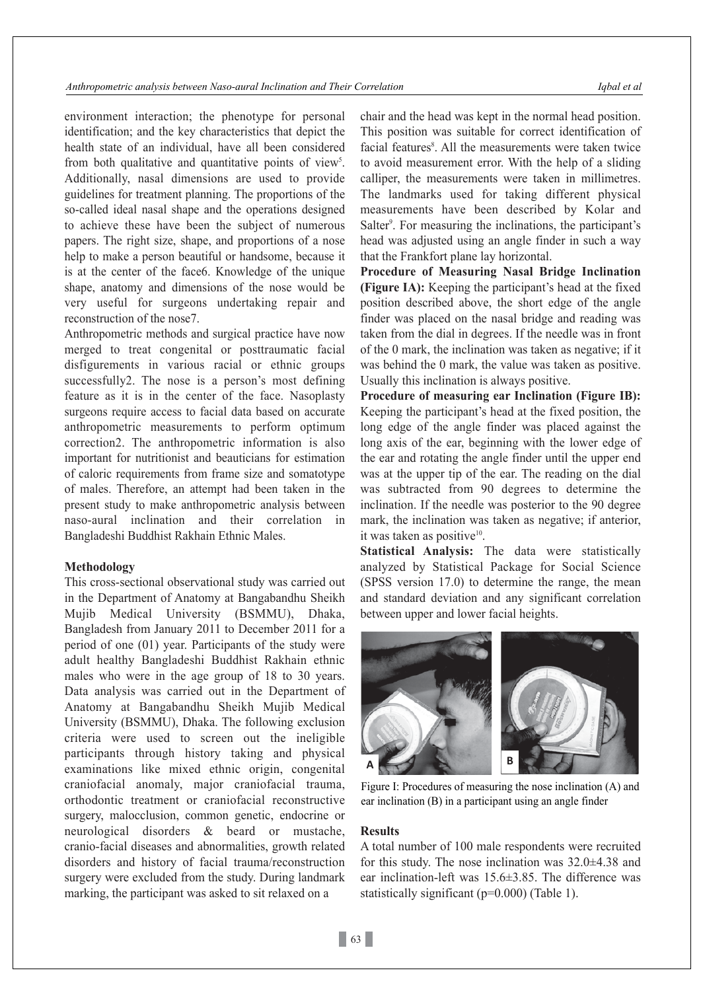environment interaction; the phenotype for personal identification; and the key characteristics that depict the health state of an individual, have all been considered from both qualitative and quantitative points of view<sup>5</sup>. Additionally, nasal dimensions are used to provide guidelines for treatment planning. The proportions of the so-called ideal nasal shape and the operations designed to achieve these have been the subject of numerous papers. The right size, shape, and proportions of a nose help to make a person beautiful or handsome, because it is at the center of the face6. Knowledge of the unique shape, anatomy and dimensions of the nose would be very useful for surgeons undertaking repair and reconstruction of the nose7.

Anthropometric methods and surgical practice have now merged to treat congenital or posttraumatic facial disfigurements in various racial or ethnic groups successfully2. The nose is a person's most defining feature as it is in the center of the face. Nasoplasty surgeons require access to facial data based on accurate anthropometric measurements to perform optimum correction2. The anthropometric information is also important for nutritionist and beauticians for estimation of caloric requirements from frame size and somatotype of males. Therefore, an attempt had been taken in the present study to make anthropometric analysis between naso-aural inclination and their correlation in Bangladeshi Buddhist Rakhain Ethnic Males.

#### **Methodology**

This cross-sectional observational study was carried out in the Department of Anatomy at Bangabandhu Sheikh Mujib Medical University (BSMMU), Dhaka, Bangladesh from January 2011 to December 2011 for a period of one (01) year. Participants of the study were adult healthy Bangladeshi Buddhist Rakhain ethnic males who were in the age group of 18 to 30 years. Data analysis was carried out in the Department of Anatomy at Bangabandhu Sheikh Mujib Medical University (BSMMU), Dhaka. The following exclusion criteria were used to screen out the ineligible participants through history taking and physical examinations like mixed ethnic origin, congenital craniofacial anomaly, major craniofacial trauma, orthodontic treatment or craniofacial reconstructive surgery, malocclusion, common genetic, endocrine or neurological disorders & beard or mustache, cranio-facial diseases and abnormalities, growth related disorders and history of facial trauma/reconstruction surgery were excluded from the study. During landmark marking, the participant was asked to sit relaxed on a

chair and the head was kept in the normal head position. This position was suitable for correct identification of facial features<sup>8</sup>. All the measurements were taken twice to avoid measurement error. With the help of a sliding calliper, the measurements were taken in millimetres. The landmarks used for taking different physical measurements have been described by Kolar and Salter<sup>9</sup>. For measuring the inclinations, the participant's head was adjusted using an angle finder in such a way that the Frankfort plane lay horizontal.

**Procedure of Measuring Nasal Bridge Inclination (Figure IA):** Keeping the participant's head at the fixed position described above, the short edge of the angle finder was placed on the nasal bridge and reading was taken from the dial in degrees. If the needle was in front of the 0 mark, the inclination was taken as negative; if it was behind the 0 mark, the value was taken as positive. Usually this inclination is always positive.

**Procedure of measuring ear Inclination (Figure IB):** Keeping the participant's head at the fixed position, the long edge of the angle finder was placed against the long axis of the ear, beginning with the lower edge of the ear and rotating the angle finder until the upper end was at the upper tip of the ear. The reading on the dial was subtracted from 90 degrees to determine the inclination. If the needle was posterior to the 90 degree mark, the inclination was taken as negative; if anterior, it was taken as positive $10$ .

**Statistical Analysis:** The data were statistically analyzed by Statistical Package for Social Science (SPSS version 17.0) to determine the range, the mean and standard deviation and any significant correlation between upper and lower facial heights.



Figure I: Procedures of measuring the nose inclination (A) and ear inclination (B) in a participant using an angle finder

#### **Results**

A total number of 100 male respondents were recruited for this study. The nose inclination was 32.0±4.38 and ear inclination-left was 15.6±3.85. The difference was statistically significant (p=0.000) (Table 1).